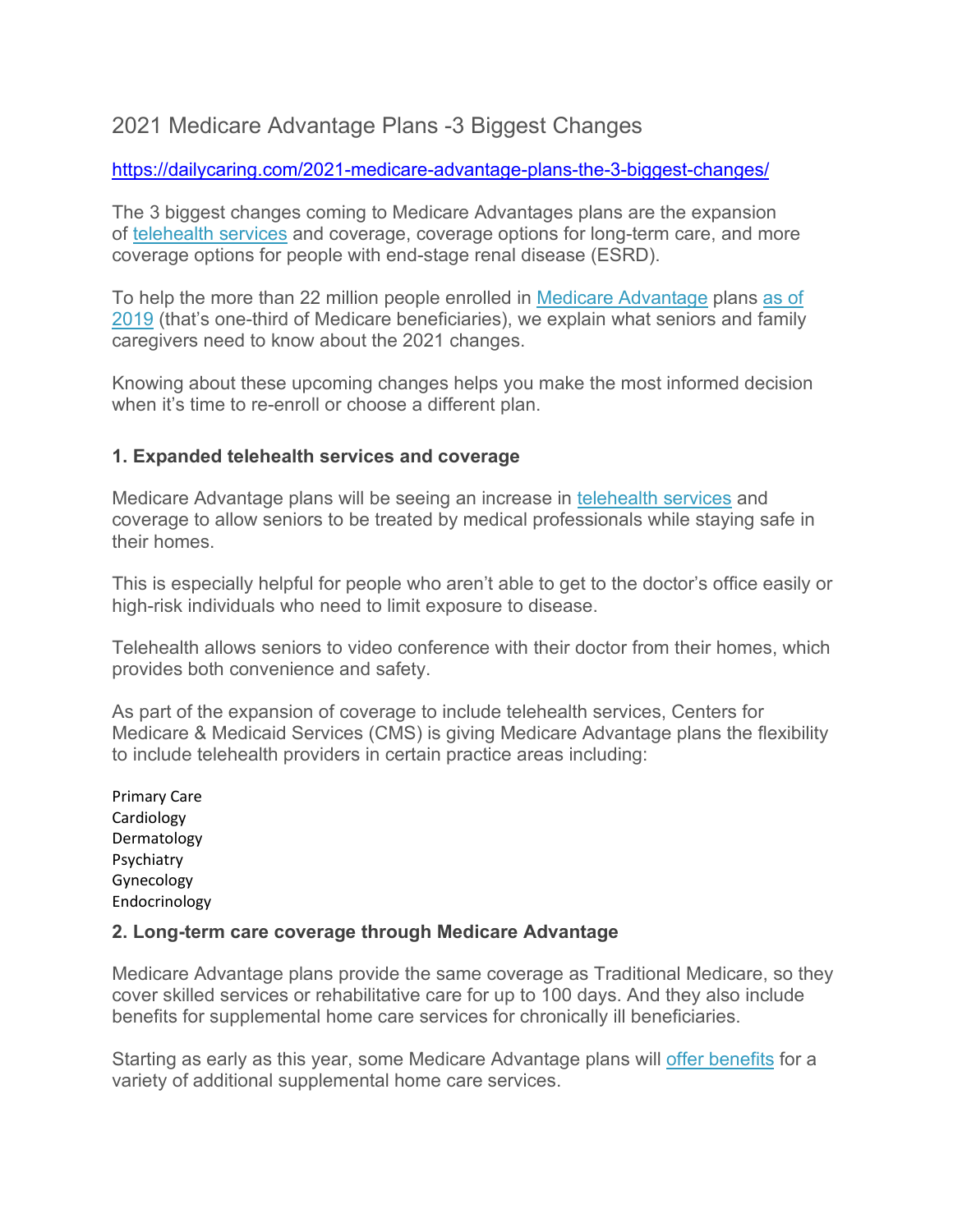# 2021 Medicare Advantage Plans -3 Biggest Changes

## <https://dailycaring.com/2021-medicare-advantage-plans-the-3-biggest-changes/>

The 3 biggest changes coming to Medicare Advantages plans are the expansion of [telehealth services](https://dailycaring.com/4-ways-telemedicine-makes-life-easier-for-seniors-and-caregivers/) and coverage, coverage options for long-term care, and more coverage options for people with end-stage renal disease (ESRD).

To help the more than 22 million people enrolled in [Medicare Advantage](https://www.cms.gov/newsroom/fact-sheets/2021-medicare-advantage-and-part-d-rate-announcement-fact-sheet) plans [as of](https://www.kff.org/medicare/issue-brief/a-dozen-facts-about-medicare-advantage-in-2019/#:%7E:text=1.,doubled%20over%20the%20past%20decade&text=In%202019%2C%20one%2Dthird%20(,rate%20in%202017%20and%202018.)  [2019](https://www.kff.org/medicare/issue-brief/a-dozen-facts-about-medicare-advantage-in-2019/#:%7E:text=1.,doubled%20over%20the%20past%20decade&text=In%202019%2C%20one%2Dthird%20(,rate%20in%202017%20and%202018.) (that's one-third of Medicare beneficiaries), we explain what seniors and family caregivers need to know about the 2021 changes.

Knowing about these upcoming changes helps you make the most informed decision when it's time to re-enroll or choose a different plan.

## **1. Expanded telehealth services and coverage**

Medicare Advantage plans will be seeing an increase in [telehealth services](https://dailycaring.com/4-ways-telemedicine-makes-life-easier-for-seniors-and-caregivers/) and coverage to allow seniors to be treated by medical professionals while staying safe in their homes.

This is especially helpful for people who aren't able to get to the doctor's office easily or high-risk individuals who need to limit exposure to disease.

Telehealth allows seniors to video conference with their doctor from their homes, which provides both convenience and safety.

As part of the expansion of coverage to include telehealth services, Centers for Medicare & Medicaid Services (CMS) is giving Medicare Advantage plans the flexibility to include telehealth providers in certain practice areas including:

Primary Care Cardiology Dermatology Psychiatry Gynecology Endocrinology

#### **2. Long-term care coverage through Medicare Advantage**

Medicare Advantage plans provide the same coverage as Traditional Medicare, so they cover skilled services or rehabilitative care for up to 100 days. And they also include benefits for supplemental home care services for chronically ill beneficiaries.

Starting as early as this year, some Medicare Advantage plans will [offer benefits](https://www.medicarefaq.com/faqs/medicare-advantage-assisted-living/) for a variety of additional supplemental home care services.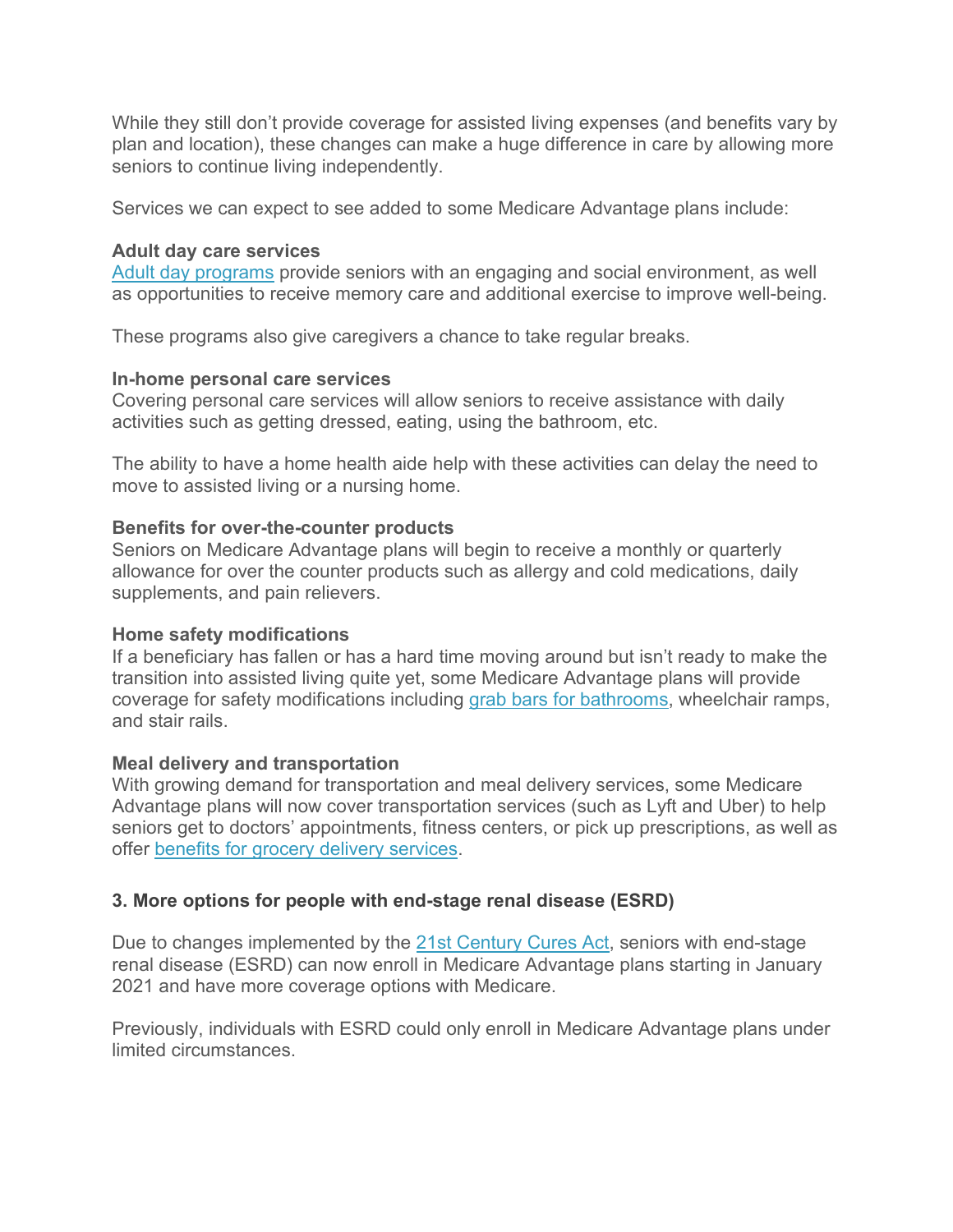While they still don't provide coverage for assisted living expenses (and benefits vary by plan and location), these changes can make a huge difference in care by allowing more seniors to continue living independently.

Services we can expect to see added to some Medicare Advantage plans include:

#### **Adult day care services**

[Adult day programs](https://dailycaring.com/adult-day-services-help-seniors-live-at-home-longer/) provide seniors with an engaging and social environment, as well as opportunities to receive memory care and additional exercise to improve well-being.

These programs also give caregivers a chance to take regular breaks.

## **In-home personal care services**

Covering personal care services will allow seniors to receive assistance with daily activities such as getting dressed, eating, using the bathroom, etc.

The ability to have a home health aide help with these activities can delay the need to move to assisted living or a nursing home.

## **Benefits for over-the-counter products**

Seniors on Medicare Advantage plans will begin to receive a monthly or quarterly allowance for over the counter products such as allergy and cold medications, daily supplements, and pain relievers.

#### **Home safety modifications**

If a beneficiary has fallen or has a hard time moving around but isn't ready to make the transition into assisted living quite yet, some Medicare Advantage plans will provide coverage for safety modifications including [grab bars for bathrooms,](https://dailycaring.com/bathroom-safety-older-adults-grab-bars/) wheelchair ramps, and stair rails.

# **Meal delivery and transportation**

With growing demand for transportation and meal delivery services, some Medicare Advantage plans will now cover transportation services (such as Lyft and Uber) to help seniors get to doctors' appointments, fitness centers, or pick up prescriptions, as well as offer [benefits for grocery delivery services.](https://www.medicarefaq.com/faqs/does-medicare-cover-meals-on-wheels/)

# **3. More options for people with end-stage renal disease (ESRD)**

Due to changes implemented by the [21st Century Cures Act,](https://www.congress.gov/bill/114th-congress/house-bill/34) seniors with end-stage renal disease (ESRD) can now enroll in Medicare Advantage plans starting in January 2021 and have more coverage options with Medicare.

Previously, individuals with ESRD could only enroll in Medicare Advantage plans under limited circumstances.